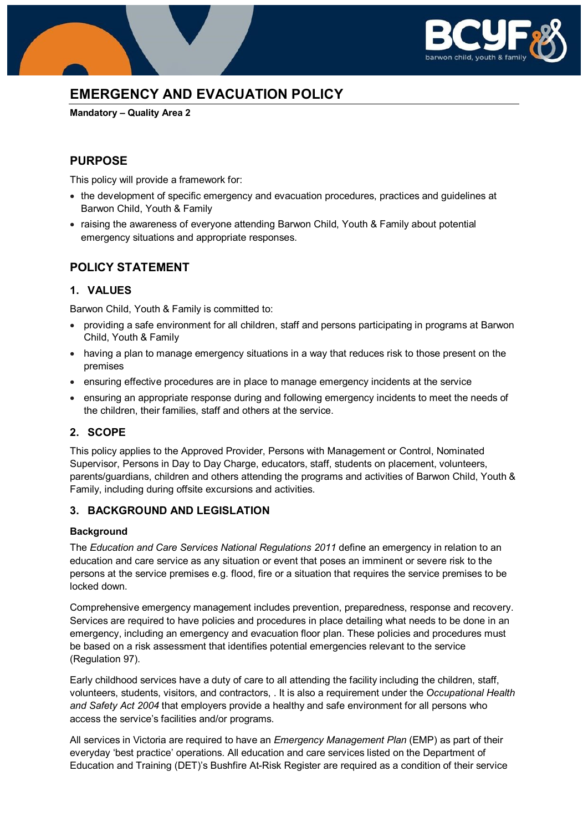

# **EMERGENCY AND EVACUATION POLICY**

**Mandatory – Quality Area 2**

# **PURPOSE**

This policy will provide a framework for:

- the development of specific emergency and evacuation procedures, practices and guidelines at Barwon Child, Youth & Family
- raising the awareness of everyone attending Barwon Child, Youth & Family about potential emergency situations and appropriate responses.

# **POLICY STATEMENT**

### **1. VALUES**

Barwon Child, Youth & Family is committed to:

- providing a safe environment for all children, staff and persons participating in programs at Barwon Child, Youth & Family
- having a plan to manage emergency situations in a way that reduces risk to those present on the premises
- ensuring effective procedures are in place to manage emergency incidents at the service
- ensuring an appropriate response during and following emergency incidents to meet the needs of the children, their families, staff and others at the service.

# **2. SCOPE**

This policy applies to the Approved Provider, Persons with Management or Control, Nominated Supervisor, Persons in Day to Day Charge, educators, staff, students on placement, volunteers, parents/guardians, children and others attending the programs and activities of Barwon Child, Youth & Family, including during offsite excursions and activities.

### **3. BACKGROUND AND LEGISLATION**

#### **Background**

The *Education and Care Services National Regulations 2011* define an emergency in relation to an education and care service as any situation or event that poses an imminent or severe risk to the persons at the service premises e.g. flood, fire or a situation that requires the service premises to be locked down.

Comprehensive emergency management includes prevention, preparedness, response and recovery. Services are required to have policies and procedures in place detailing what needs to be done in an emergency, including an emergency and evacuation floor plan. These policies and procedures must be based on a risk assessment that identifies potential emergencies relevant to the service (Regulation 97).

Early childhood services have a duty of care to all attending the facility including the children, staff, volunteers, students, visitors, and contractors, . It is also a requirement under the *Occupational Health and Safety Act 2004* that employers provide a healthy and safe environment for all persons who access the service's facilities and/or programs.

All services in Victoria are required to have an *Emergency Management Plan* (EMP) as part of their everyday 'best practice' operations. All education and care services listed on the Department of Education and Training (DET)'s Bushfire At-Risk Register are required as a condition of their service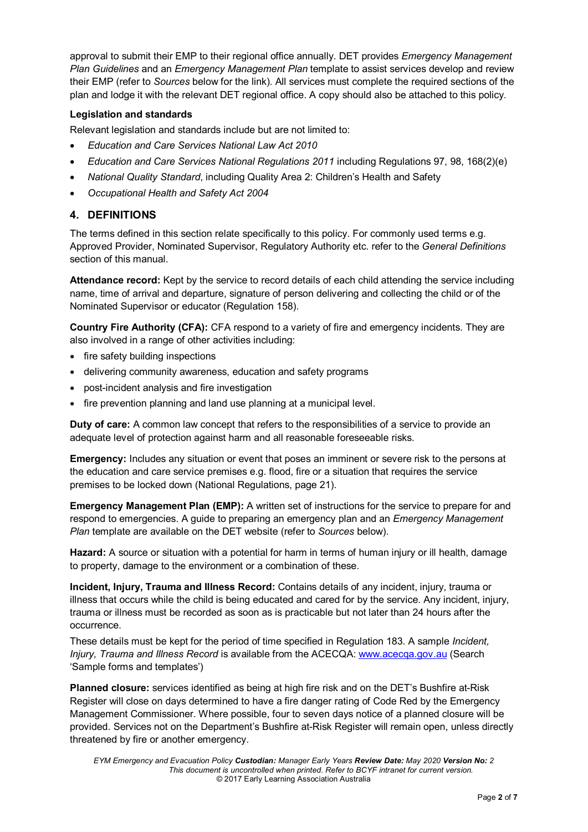approval to submit their EMP to their regional office annually. DET provides *Emergency Management Plan Guidelines* and an *Emergency Management Plan* template to assist services develop and review their EMP (refer to *Sources* below for the link). All services must complete the required sections of the plan and lodge it with the relevant DET regional office. A copy should also be attached to this policy.

#### **Legislation and standards**

Relevant legislation and standards include but are not limited to:

- *Education and Care Services National Law Act 2010*
- *Education and Care Services National Regulations 2011* including Regulations 97, 98, 168(2)(e)
- *National Quality Standard*, including Quality Area 2: Children's Health and Safety
- *Occupational Health and Safety Act 2004*

### **4. DEFINITIONS**

The terms defined in this section relate specifically to this policy. For commonly used terms e.g. Approved Provider, Nominated Supervisor, Regulatory Authority etc. refer to the *General Definitions* section of this manual.

**Attendance record:** Kept by the service to record details of each child attending the service including name, time of arrival and departure, signature of person delivering and collecting the child or of the Nominated Supervisor or educator (Regulation 158).

**Country Fire Authority (CFA):** CFA respond to a variety of fire and emergency incidents. They are also involved in a range of other activities including:

- fire safety building inspections
- delivering community awareness, education and safety programs
- post-incident analysis and fire investigation
- fire prevention planning and land use planning at a municipal level.

**Duty of care:** A common law concept that refers to the responsibilities of a service to provide an adequate level of protection against harm and all reasonable foreseeable risks.

**Emergency:** Includes any situation or event that poses an imminent or severe risk to the persons at the education and care service premises e.g. flood, fire or a situation that requires the service premises to be locked down (National Regulations, page 21).

**Emergency Management Plan (EMP):** A written set of instructions for the service to prepare for and respond to emergencies. A guide to preparing an emergency plan and an *Emergency Management Plan* template are available on the DET website (refer to *Sources* below).

**Hazard:** A source or situation with a potential for harm in terms of human injury or ill health, damage to property, damage to the environment or a combination of these.

**Incident, Injury, Trauma and Illness Record:** Contains details of any incident, injury, trauma or illness that occurs while the child is being educated and cared for by the service. Any incident, injury, trauma or illness must be recorded as soon as is practicable but not later than 24 hours after the occurrence.

These details must be kept for the period of time specified in Regulation 183. A sample *Incident, Injury, Trauma and Illness Record* is available from the ACECQA: [www.acecqa.gov.au](http://www.acecqa.gov.au/) (Search 'Sample forms and templates')

**Planned closure:** services identified as being at high fire risk and on the DET's Bushfire at-Risk Register will close on days determined to have a fire danger rating of Code Red by the Emergency Management Commissioner. Where possible, four to seven days notice of a planned closure will be provided. Services not on the Department's Bushfire at-Risk Register will remain open, unless directly threatened by fire or another emergency.

*EYM Emergency and Evacuation Policy Custodian: Manager Early Years Review Date: May 2020 Version No: 2 This document is uncontrolled when printed. Refer to BCYF intranet for current version.* © 2017 Early Learning Association Australia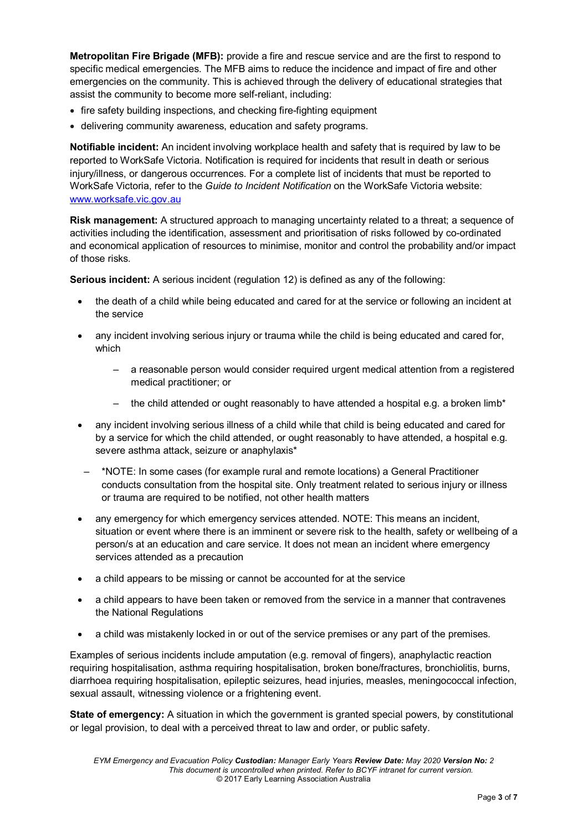**Metropolitan Fire Brigade (MFB):** provide a fire and rescue service and are the first to respond to specific medical emergencies. The MFB aims to reduce the incidence and impact of fire and other emergencies on the community. This is achieved through the delivery of educational strategies that assist the community to become more self-reliant, including:

- fire safety building inspections, and checking fire-fighting equipment
- delivering community awareness, education and safety programs.

**Notifiable incident:** An incident involving workplace health and safety that is required by law to be reported to WorkSafe Victoria. Notification is required for incidents that result in death or serious injury/illness, or dangerous occurrences. For a complete list of incidents that must be reported to WorkSafe Victoria, refer to the *Guide to Incident Notification* on the WorkSafe Victoria website: [www.worksafe.vic.gov.au](http://www.worksafe.vic.gov.au/)

**Risk management:** A structured approach to managing uncertainty related to a threat; a sequence of activities including the identification, assessment and prioritisation of risks followed by co-ordinated and economical application of resources to minimise, monitor and control the probability and/or impact of those risks.

**Serious incident:** A serious incident (regulation 12) is defined as any of the following:

- the death of a child while being educated and cared for at the service or following an incident at the service
- any incident involving serious injury or trauma while the child is being educated and cared for, which
	- a reasonable person would consider required urgent medical attention from a registered medical practitioner; or
	- the child attended or ought reasonably to have attended a hospital e.g. a broken limb\*
- any incident involving serious illness of a child while that child is being educated and cared for by a service for which the child attended, or ought reasonably to have attended, a hospital e.g. severe asthma attack, seizure or anaphylaxis\*
- \*NOTE: In some cases (for example rural and remote locations) a General Practitioner conducts consultation from the hospital site. Only treatment related to serious injury or illness or trauma are required to be notified, not other health matters
- any emergency for which emergency services attended. NOTE: This means an incident, situation or event where there is an imminent or severe risk to the health, safety or wellbeing of a person/s at an education and care service. It does not mean an incident where emergency services attended as a precaution
- a child appears to be missing or cannot be accounted for at the service
- a child appears to have been taken or removed from the service in a manner that contravenes the National Regulations
- a child was mistakenly locked in or out of the service premises or any part of the premises.

Examples of serious incidents include amputation (e.g. removal of fingers), anaphylactic reaction requiring hospitalisation, asthma requiring hospitalisation, broken bone/fractures, bronchiolitis, burns, diarrhoea requiring hospitalisation, epileptic seizures, head injuries, measles, meningococcal infection, sexual assault, witnessing violence or a frightening event.

**State of emergency:** A situation in which the government is granted special powers, by constitutional or legal provision, to deal with a perceived threat to law and order, or public safety.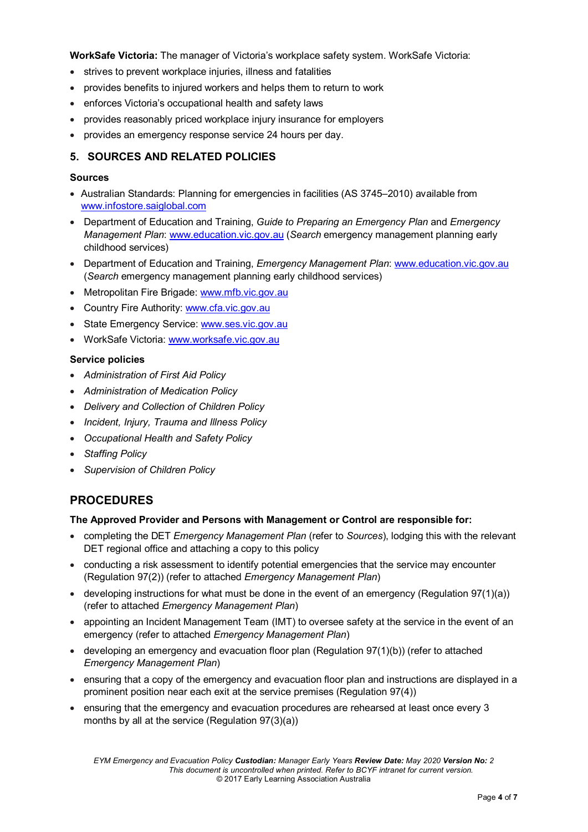**WorkSafe Victoria:** The manager of Victoria's workplace safety system. WorkSafe Victoria:

- strives to prevent workplace injuries, illness and fatalities
- provides benefits to injured workers and helps them to return to work
- enforces Victoria's occupational health and safety laws
- provides reasonably priced workplace injury insurance for employers
- provides an emergency response service 24 hours per day.

### **5. SOURCES AND RELATED POLICIES**

#### **Sources**

- Australian Standards: Planning for emergencies in facilities (AS 3745–2010) available from [www.infostore.saiglobal.com](https://infostore.saiglobal.com/)
- Department of Education and Training, *Guide to Preparing an Emergency Plan* and *Emergency Management Plan*: [www.education.vic.gov.au](http://www.education.vic.gov.au/Pages/default.aspx) (*Search* emergency management planning early childhood services)
- Department of Education and Training, *Emergency Management Plan*: [www.education.vic.gov.au](http://www.education.vic.gov.au/Pages/default.aspx) (*Search* emergency management planning early childhood services)
- Metropolitan Fire Brigade: [www.mfb.vic.gov.au](http://www.mfb.vic.gov.au/)
- Country Fire Authority: [www.cfa.vic.gov.au](http://www.cfa.vic.gov.au/)
- State Emergency Service: [www.ses.vic.gov.au](http://www.ses.vic.gov.au/)
- WorkSafe Victoria: [www.worksafe.vic.gov.au](http://www.worksafe.vic.gov.au/)

### **Service policies**

- *Administration of First Aid Policy*
- *Administration of Medication Policy*
- *Delivery and Collection of Children Policy*
- *Incident, Injury, Trauma and Illness Policy*
- *Occupational Health and Safety Policy*
- *Staffing Policy*
- *Supervision of Children Policy*

# **PROCEDURES**

#### **The Approved Provider and Persons with Management or Control are responsible for:**

- completing the DET *Emergency Management Plan* (refer to *Sources*), lodging this with the relevant DET regional office and attaching a copy to this policy
- conducting a risk assessment to identify potential emergencies that the service may encounter (Regulation 97(2)) (refer to attached *Emergency Management Plan*)
- developing instructions for what must be done in the event of an emergency (Regulation  $97(1)(a)$ ) (refer to attached *Emergency Management Plan*)
- appointing an Incident Management Team (IMT) to oversee safety at the service in the event of an emergency (refer to attached *Emergency Management Plan*)
- developing an emergency and evacuation floor plan (Regulation 97(1)(b)) (refer to attached *Emergency Management Plan*)
- ensuring that a copy of the emergency and evacuation floor plan and instructions are displayed in a prominent position near each exit at the service premises (Regulation 97(4))
- ensuring that the emergency and evacuation procedures are rehearsed at least once every 3 months by all at the service (Regulation 97(3)(a))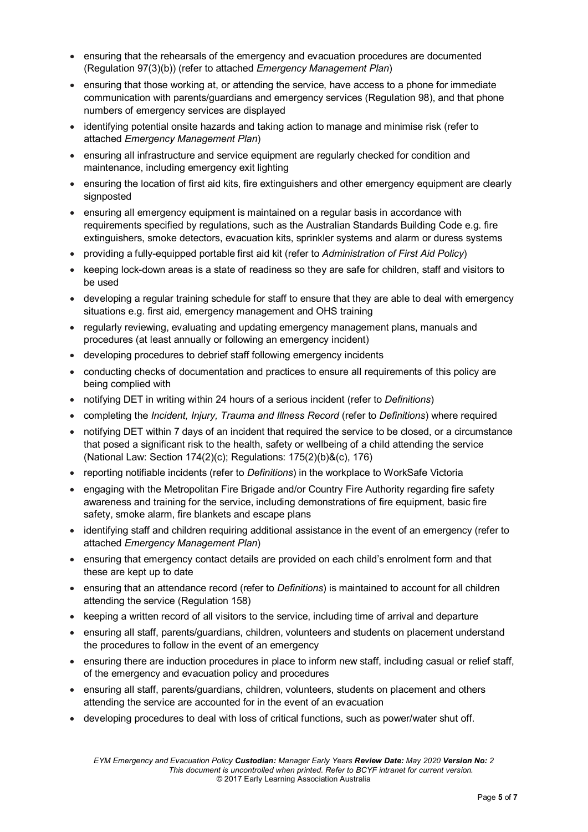- ensuring that the rehearsals of the emergency and evacuation procedures are documented (Regulation 97(3)(b)) (refer to attached *Emergency Management Plan*)
- ensuring that those working at, or attending the service, have access to a phone for immediate communication with parents/guardians and emergency services (Regulation 98), and that phone numbers of emergency services are displayed
- identifying potential onsite hazards and taking action to manage and minimise risk (refer to attached *Emergency Management Plan*)
- ensuring all infrastructure and service equipment are regularly checked for condition and maintenance, including emergency exit lighting
- ensuring the location of first aid kits, fire extinguishers and other emergency equipment are clearly signposted
- ensuring all emergency equipment is maintained on a regular basis in accordance with requirements specified by regulations, such as the Australian Standards Building Code e.g. fire extinguishers, smoke detectors, evacuation kits, sprinkler systems and alarm or duress systems
- providing a fully-equipped portable first aid kit (refer to *Administration of First Aid Policy*)
- keeping lock-down areas is a state of readiness so they are safe for children, staff and visitors to be used
- developing a regular training schedule for staff to ensure that they are able to deal with emergency situations e.g. first aid, emergency management and OHS training
- regularly reviewing, evaluating and updating emergency management plans, manuals and procedures (at least annually or following an emergency incident)
- developing procedures to debrief staff following emergency incidents
- conducting checks of documentation and practices to ensure all requirements of this policy are being complied with
- notifying DET in writing within 24 hours of a serious incident (refer to *Definitions*)
- completing the *Incident, Injury, Trauma and Illness Record* (refer to *Definitions*) where required
- notifying DET within 7 days of an incident that required the service to be closed, or a circumstance that posed a significant risk to the health, safety or wellbeing of a child attending the service (National Law: Section 174(2)(c); Regulations: 175(2)(b)&(c), 176)
- reporting notifiable incidents (refer to *Definitions*) in the workplace to WorkSafe Victoria
- engaging with the Metropolitan Fire Brigade and/or Country Fire Authority regarding fire safety awareness and training for the service, including demonstrations of fire equipment, basic fire safety, smoke alarm, fire blankets and escape plans
- identifying staff and children requiring additional assistance in the event of an emergency (refer to attached *Emergency Management Plan*)
- ensuring that emergency contact details are provided on each child's enrolment form and that these are kept up to date
- ensuring that an attendance record (refer to *Definitions*) is maintained to account for all children attending the service (Regulation 158)
- keeping a written record of all visitors to the service, including time of arrival and departure
- ensuring all staff, parents/guardians, children, volunteers and students on placement understand the procedures to follow in the event of an emergency
- ensuring there are induction procedures in place to inform new staff, including casual or relief staff, of the emergency and evacuation policy and procedures
- ensuring all staff, parents/guardians, children, volunteers, students on placement and others attending the service are accounted for in the event of an evacuation
- developing procedures to deal with loss of critical functions, such as power/water shut off.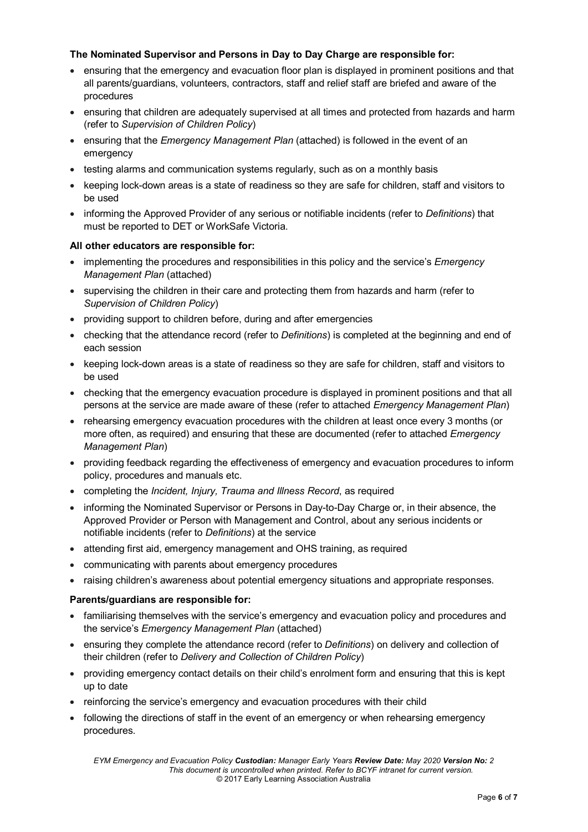### **The Nominated Supervisor and Persons in Day to Day Charge are responsible for:**

- ensuring that the emergency and evacuation floor plan is displayed in prominent positions and that all parents/guardians, volunteers, contractors, staff and relief staff are briefed and aware of the procedures
- ensuring that children are adequately supervised at all times and protected from hazards and harm (refer to *Supervision of Children Policy*)
- ensuring that the *Emergency Management Plan* (attached) is followed in the event of an emergency
- testing alarms and communication systems regularly, such as on a monthly basis
- keeping lock-down areas is a state of readiness so they are safe for children, staff and visitors to be used
- informing the Approved Provider of any serious or notifiable incidents (refer to *Definitions*) that must be reported to DET or WorkSafe Victoria.

### **All other educators are responsible for:**

- implementing the procedures and responsibilities in this policy and the service's *Emergency Management Plan* (attached)
- supervising the children in their care and protecting them from hazards and harm (refer to *Supervision of Children Policy*)
- providing support to children before, during and after emergencies
- checking that the attendance record (refer to *Definitions*) is completed at the beginning and end of each session
- keeping lock-down areas is a state of readiness so they are safe for children, staff and visitors to be used
- checking that the emergency evacuation procedure is displayed in prominent positions and that all persons at the service are made aware of these (refer to attached *Emergency Management Plan*)
- rehearsing emergency evacuation procedures with the children at least once every 3 months (or more often, as required) and ensuring that these are documented (refer to attached *Emergency Management Plan*)
- providing feedback regarding the effectiveness of emergency and evacuation procedures to inform policy, procedures and manuals etc.
- completing the *Incident, Injury, Trauma and Illness Record*, as required
- informing the Nominated Supervisor or Persons in Day-to-Day Charge or, in their absence, the Approved Provider or Person with Management and Control, about any serious incidents or notifiable incidents (refer to *Definitions*) at the service
- attending first aid, emergency management and OHS training, as required
- communicating with parents about emergency procedures
- raising children's awareness about potential emergency situations and appropriate responses.

#### **Parents/guardians are responsible for:**

- familiarising themselves with the service's emergency and evacuation policy and procedures and the service's *Emergency Management Plan* (attached)
- ensuring they complete the attendance record (refer to *Definitions*) on delivery and collection of their children (refer to *Delivery and Collection of Children Policy*)
- providing emergency contact details on their child's enrolment form and ensuring that this is kept up to date
- reinforcing the service's emergency and evacuation procedures with their child
- following the directions of staff in the event of an emergency or when rehearsing emergency procedures.